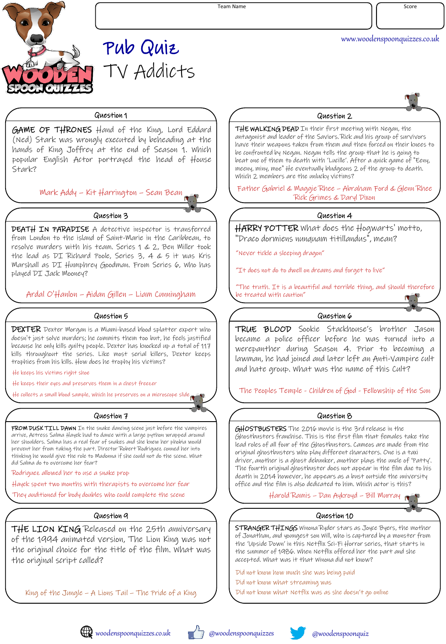

Team Name Score

www.woodenspoonquizzes.co.uk

# Pub Quiz TV Addicts

# Question 1 Question 2

GAME OF THRONES Hand of the King, Lord Eddard (Ned) Stark was wrongly executed by beheading at the hands of King Joffrey at the end of Season 1. Which popular English Actor portrayed the head of House Stark?

Mark Addy – Kit Harrington – Sean Bean

DEATH IN PARADISE A detective inspector is transferred from London to the island of Saint-Marie in the Caribbean, to resolve murders with his team. Series 1 & 2, Ben Miller took the lead as DI Richard Poole, Series 3, 4 & 5 it was Kris Marshall as DI Humphrey Goodman. From Series 6, Who has played DI Jack Mooney?

Ardal O'Hanlon – Aidan Gillen – Liam Cunningham

DEXTER Dexter Morgan is a Miami-based blood splatter expert who doesn't just solve murders; he commits them too but, he feels justified because he only kills guilty people. Dexter has knocked up a total of 117 kills throughout the series. Like most serial killers, Dexter keeps trophies from his kills. How does he trophy his victims?

He keeps his victims right shoe

He keeps their eyes and preserves them in a chest freezer

# Question 7 Question 8

FROM DUSK TILL DAWN In the snake dancing scene just before the vampires arrive, Actress Salma Hayek had to dance with a large python wrapped around her shoulders. Salma has a real fear of snakes and she knew her phobia would prevent her from taking the part. Director Robert Rodriguez conned her into thinking he would give the role to Madonna if she could not do the scene. What did Salma do to overcome her fear?

Rodriguez allowed her to use a snake prop

Hayek spent two months with therapists to overcome her fear

They auditioned for body doubles who could complete the scene

THE LION KING Released on the 25th anniversary of the 1994 animated version, The Lion King was not the original choice for the title of the film. What was the original script called?

King of the Jungle – A Lions Tail – The Pride of a King

THE WALKING DEAD In their first meeting with Negan, the antagonist and leader of the Saviors. Rick and his group of survivors have their weapons taken from them and then forced on their knees to be confronted by Negan. Negan tells the group that he is going to beat one of them to death with 'Lucille'. After a quick game of "Eeny, meeny, miny, moe" He eventually bludgeons 2 of the group to death. Which 2 members are the unlucky victims?

Father Gabriel & Maggie Rhee – Abraham Ford & Glenn Rhee Rick Grimes & Daryl Dixon

# Question 3 Question 4

HARRY POTTER What does the Hogwarts' motto, "Draco dormiens nunquam titillandus", mean?

"Never tickle a sleeping dragon"

"It does not do to dwell on dreams and forget to live"

"The truth. It is a beautiful and terrible thing, and should therefore be treated with caution"

# Question 5 Question 6

TRUE BLOOD Sookie Stackhouse's brother Jason became a police officer before he was turned into a werepanther during Season 4. Prior to becoming a lawman, he had joined and later left an Anti-Vampire cult and hate group. What was the name of this Cult?

He collects a small blood sample, which he preserves on a microscope slide The Peoples Temple - Children of God - Fellowship of the Sun

GHOSTBUSTERS The 2016 movie is the 3rd release in the Ghostbusters franchise. This is the first film that females take the lead roles of all four of the Ghostbusters. Cameos are made from the original ghostbusters who play different characters. One is a taxi driver, another is a ghost debunker, another plays the uncle of 'Patty'. The fourth original ghostbuster does not appear in the film due to his death in 2014 however, he appears as a bust outside the university office and the film is also dedicated to him. Which actor is this?

Harold Ramis – Dan Aykroyd – Bill Murray

# Question 9 Question 10

STRANGER THINGS Winona Ryder stars as Joyce Byers, the mother of Jonathan, and youngest son Will, who is captured by a monster from the 'Upside Down' in this Netflix Sci-Fi Horror series, that starts in the summer of 1986. When Netflix offered her the part and she accepted. What was it that Winona did not know?

Did not know how much she was being paid

Did not know what streaming was

Did not know what Netflix was as she doesn't go online